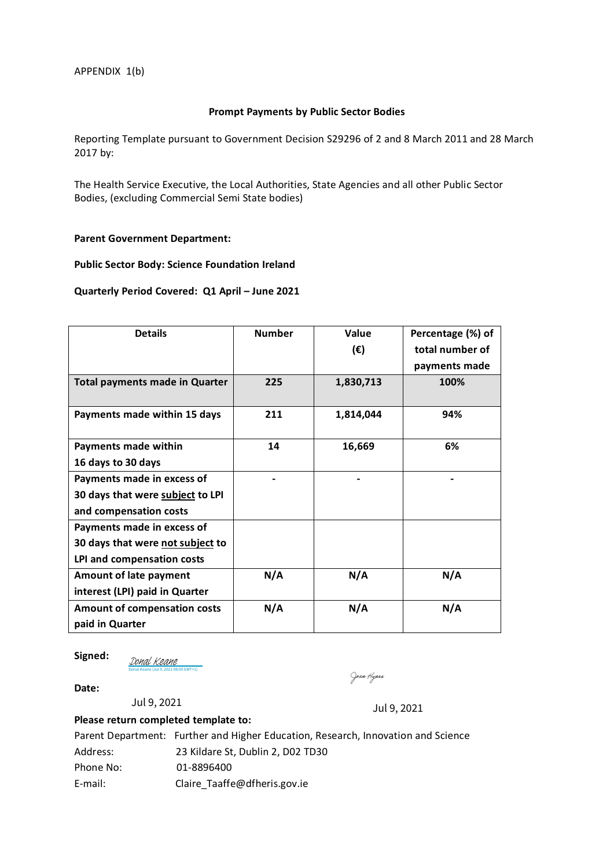### **Prompt Payments by Public Sector Bodies**

Reporting Template pursuant to Government Decision S29296 of 2 and 8 March 2011 and 28 March 2017 by:

The Health Service Executive, the Local Authorities, State Agencies and all other Public Sector Bodies, (excluding Commercial Semi State bodies)

#### **Parent Government Department:**

### **Public Sector Body: Science Foundation Ireland**

#### **Quarterly Period Covered: Q1 April – June 2021**

| <b>Details</b>                        | <b>Number</b> | <b>Value</b> | Percentage (%) of |
|---------------------------------------|---------------|--------------|-------------------|
|                                       |               | $(\epsilon)$ | total number of   |
|                                       |               |              | payments made     |
| <b>Total payments made in Quarter</b> | 225           | 1,830,713    | 100%              |
| Payments made within 15 days          | 211           | 1,814,044    | 94%               |
| Payments made within                  | 14            | 16,669       | 6%                |
| 16 days to 30 days                    |               |              |                   |
| Payments made in excess of            |               |              |                   |
| 30 days that were subject to LPI      |               |              |                   |
| and compensation costs                |               |              |                   |
| Payments made in excess of            |               |              |                   |
| 30 days that were not subject to      |               |              |                   |
| LPI and compensation costs            |               |              |                   |
| <b>Amount of late payment</b>         | N/A           | N/A          | N/A               |
| interest (LPI) paid in Quarter        |               |              |                   |
| Amount of compensation costs          | N/A           | N/A          | N/A               |
| paid in Quarter                       |               |              |                   |

**Signed:** 

[Donal Keane](https://eu2.documents.adobe.com/verifier?tx=CBJCHBCAABAA9LS_DkFqUgmLsKgGw8eoW_7kgqJZH4tl) (Jul 9, 2021 08:09 GMT+1)

Joan Hypes

**Date:** 

**Please return completed template to:**  Jul 9, 2021 Jul 9, 2021

|           | Parent Department: Further and Higher Education, Research, Innovation and Science |
|-----------|-----------------------------------------------------------------------------------|
| Address:  | 23 Kildare St. Dublin 2, D02 TD30                                                 |
| Phone No: | 01-8896400                                                                        |
| E-mail:   | Claire Taaffe@dfheris.gov.ie                                                      |